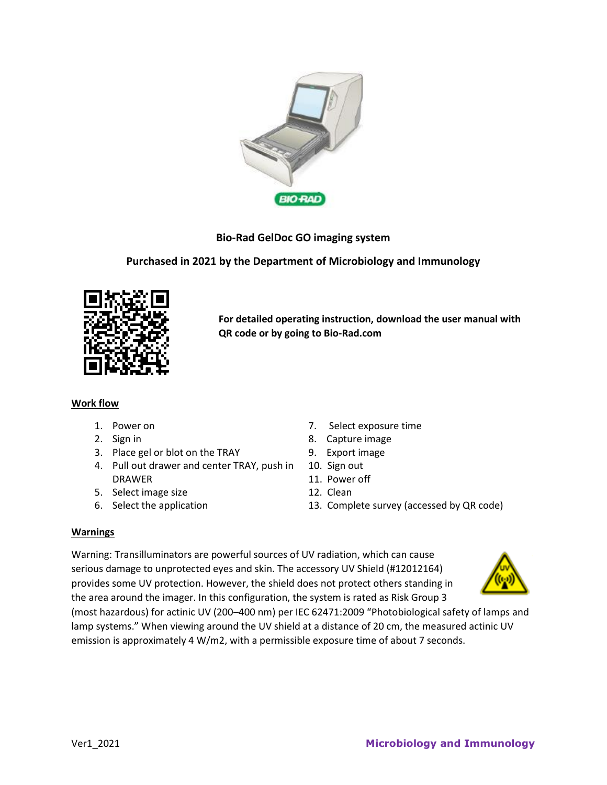

# **Bio-Rad GelDoc GO imaging system**

## **Purchased in 2021 by the Department of Microbiology and Immunology**



**For detailed operating instruction, download the user manual with QR code or by going to Bio-Rad.com**

## **Work flow**

- 
- 
- 3. Place gel or blot on the TRAY 9. Export image
- 4. Pull out drawer and center TRAY, push in DRAWER
- 5. Select image size 12. Clean
- 
- 1. Power on 7. Select exposure time
- 2. Sign in 8. Capture image
	-
	- 10. Sign out
	- 11. Power off
	-
- 6. Select the application 13. Complete survey (accessed by QR code)

## **Warnings**

Warning: Transilluminators are powerful sources of UV radiation, which can cause serious damage to unprotected eyes and skin. The accessory UV Shield (#12012164) provides some UV protection. However, the shield does not protect others standing in the area around the imager. In this configuration, the system is rated as Risk Group 3



(most hazardous) for actinic UV (200–400 nm) per IEC 62471:2009 "Photobiological safety of lamps and lamp systems." When viewing around the UV shield at a distance of 20 cm, the measured actinic UV emission is approximately 4 W/m2, with a permissible exposure time of about 7 seconds.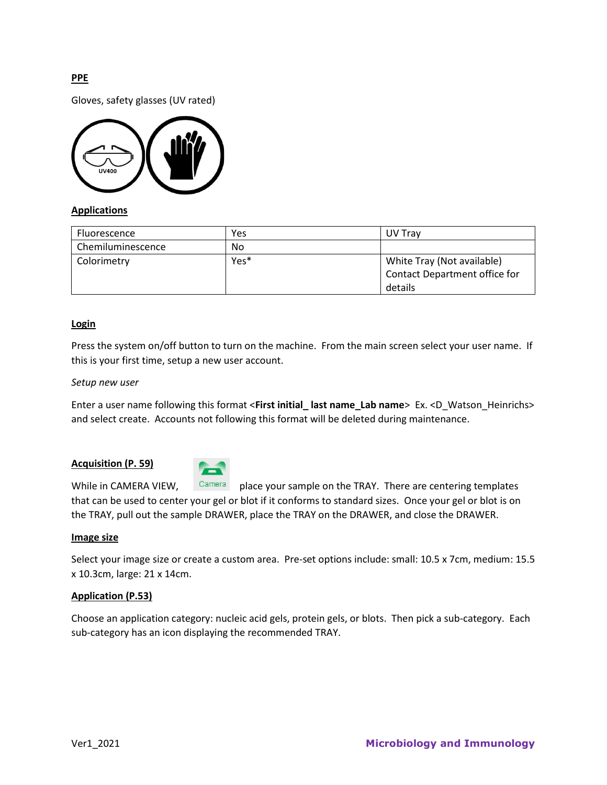## **PPE**

Gloves, safety glasses (UV rated)



## **Applications**

| Fluorescence      | Yes              | UV Trav                       |  |
|-------------------|------------------|-------------------------------|--|
| Chemiluminescence | No               |                               |  |
| Colorimetry       | Yes <sup>*</sup> | White Tray (Not available)    |  |
|                   |                  | Contact Department office for |  |
|                   |                  | details                       |  |

#### **Login**

Press the system on/off button to turn on the machine. From the main screen select your user name. If this is your first time, setup a new user account.

#### *Setup new user*

Enter a user name following this format <**First initial\_ last name\_Lab name**> Ex. <D\_Watson\_Heinrichs> and select create. Accounts not following this format will be deleted during maintenance.

#### **Acquisition (P. 59)**



While in CAMERA VIEW,  $\frac{C\text{amera}}{P}$  place your sample on the TRAY. There are centering templates that can be used to center your gel or blot if it conforms to standard sizes. Once your gel or blot is on the TRAY, pull out the sample DRAWER, place the TRAY on the DRAWER, and close the DRAWER.

#### **Image size**

Select your image size or create a custom area. Pre-set options include: small: 10.5 x 7cm, medium: 15.5 x 10.3cm, large: 21 x 14cm.

#### **Application (P.53)**

Choose an application category: nucleic acid gels, protein gels, or blots. Then pick a sub-category. Each sub-category has an icon displaying the recommended TRAY.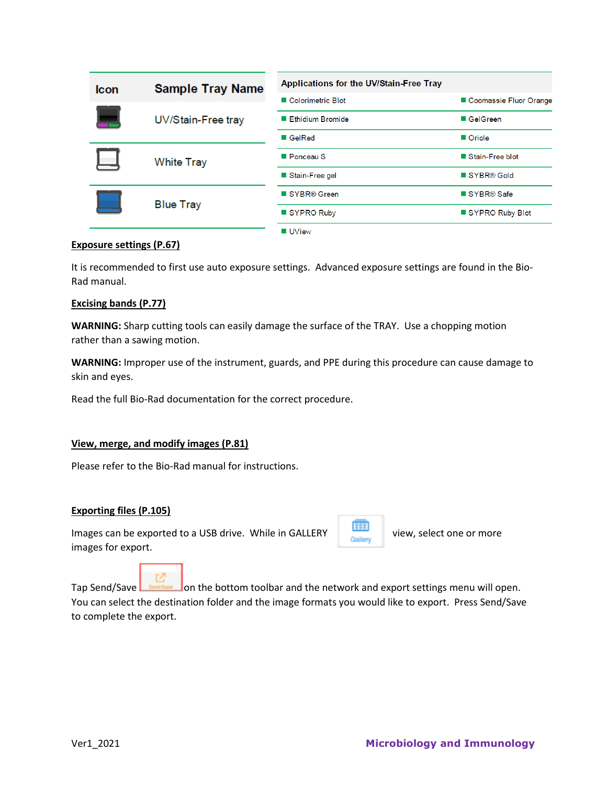| <b>Icon</b> | <b>Sample Tray Name</b> | Applications for the UV/Stain-Free Tray |                        |
|-------------|-------------------------|-----------------------------------------|------------------------|
|             |                         | Colorimetric Blot                       | Coomassie Fluor Orange |
|             | UV/Stain-Free tray      | Ethidium Bromide                        | ■ GelGreen             |
|             |                         | ■ GelRed                                | ■ Oriole               |
|             | <b>White Tray</b>       | Ponceau S                               | Stain-Free blot        |
|             |                         | Stain-Free gel                          | SYBR® Gold             |
|             | <b>Blue Tray</b>        | ■ SYBR® Green                           | SYBR® Safe             |
|             |                         | SYPRO Ruby                              | SYPRO Ruby Blot        |
|             |                         |                                         |                        |

## **UView**

## **Exposure settings (P.67)**

It is recommended to first use auto exposure settings. Advanced exposure settings are found in the Bio-Rad manual.

### **Excising bands (P.77)**

**WARNING:** Sharp cutting tools can easily damage the surface of the TRAY. Use a chopping motion rather than a sawing motion.

**WARNING:** Improper use of the instrument, guards, and PPE during this procedure can cause damage to skin and eyes.

Read the full Bio-Rad documentation for the correct procedure.

## **View, merge, and modify images (P.81)**

Please refer to the Bio-Rad manual for instructions.

#### **Exporting files (P.105)**

Images can be exported to a USB drive. While in GALLERY view, select one or more images for export.



密 Tap Send/Save  $\Box$  sents are dom the bottom toolbar and the network and export settings menu will open. You can select the destination folder and the image formats you would like to export. Press Send/Save to complete the export.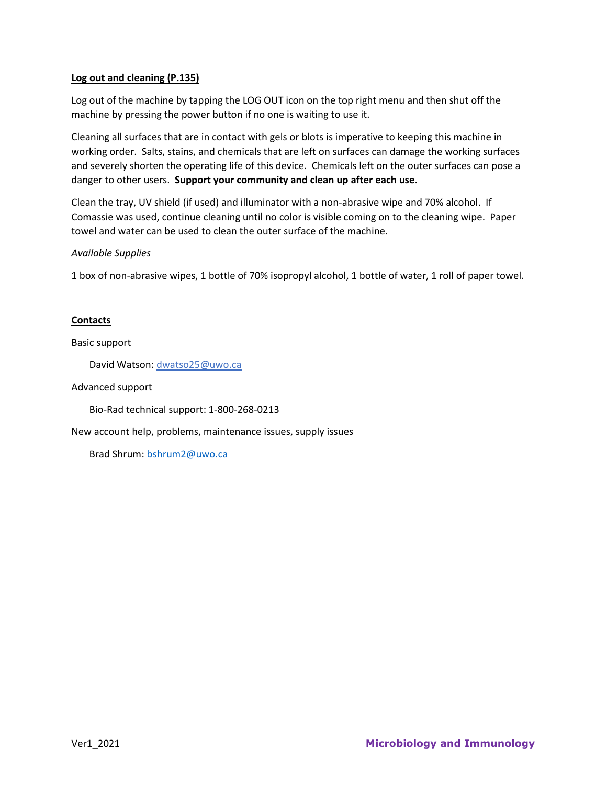## **Log out and cleaning (P.135)**

Log out of the machine by tapping the LOG OUT icon on the top right menu and then shut off the machine by pressing the power button if no one is waiting to use it.

Cleaning all surfaces that are in contact with gels or blots is imperative to keeping this machine in working order. Salts, stains, and chemicals that are left on surfaces can damage the working surfaces and severely shorten the operating life of this device. Chemicals left on the outer surfaces can pose a danger to other users. **Support your community and clean up after each use**.

Clean the tray, UV shield (if used) and illuminator with a non-abrasive wipe and 70% alcohol. If Comassie was used, continue cleaning until no color is visible coming on to the cleaning wipe. Paper towel and water can be used to clean the outer surface of the machine.

## *Available Supplies*

1 box of non-abrasive wipes, 1 bottle of 70% isopropyl alcohol, 1 bottle of water, 1 roll of paper towel.

## **Contacts**

Basic support

David Watson: dwatso25@uwo.ca

Advanced support

Bio-Rad technical support: 1-800-268-0213

New account help, problems, maintenance issues, supply issues

Brad Shrum: [bshrum2@uwo.ca](mailto:bshrum2@uwo.ca)